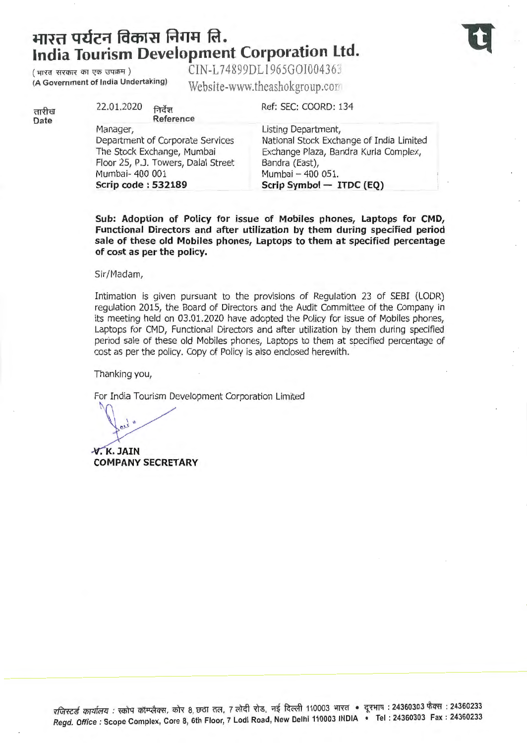# भारत पर्यटन विकास निगम लि. **India Tourism Development Corporation Ltd.**



 $\frac{1}{\text{Mrd}}$   $\frac{1}{\text{Mrd}}$   $\frac{1}{\text{Mrd}}$   $\frac{1}{\text{Mrd}}$  (A Government of India Undertaking)  $\frac{1}{\text{Mch}}$   $\frac{1}{\text{Mrd}}$   $\frac{1}{\text{Mrd}}$   $\frac{1}{\text{Mrd}}$   $\frac{1}{\text{Mrd}}$   $\frac{1}{\text{Mrd}}$   $\frac{1}{\text{Mrd}}$   $\frac{1}{\text{Mrd}}$   $\frac{1}{\text{Mrd}}$   $\frac$ Website-www.theashokgroup.com

तारीख Date

22.01.2020 निर्देश Reference Manager, Department of Corporate Services The Stock Exchange, Mumbai Floor 25, P.J. Towers, Dalal Street Mumbai- 400 001 Scrip code : 532189 Ref: SEC: COORD: 134 Bandra (East),

Listing Department, National Stock Exchange of India Limited Exchange Plaza, Sandra Kurla Complex, Mumbai - 400 051. Scrip Symbol - ITDC (EQ)

Sub: Adoption of Policy for issue of Mobiles phones, Laptops for CMD, Functional Directors and after utilization by them during specified period sale of these old Mobiles phones, Laptops to them at specified percentage of cost as per the policy.

Sir/Madam,

Intimation is given pursuant to the provisions of Regulation 23 of SEBI (LODR) regulation 2015, the Board of Directors and the Audit Committee of the Company in its meeting held on 03.01.2020 have adopted the Policy for issue of Mobiles phones, Laptops for CMD, Functional Directors and after utilization by them during specified period sale of these old Mobiles phones, Laptops to them at specified percentage of cost as per the policy. Copy of Policy is also enclosed herewith.

Thanking you,

For India Tourism Development Corporation Limited

ail "

 $\forall$ . K. JAIN COMPANY SECRETARY

रजिस्टर्ड कार्यालय : स्कोप कॉम्प्लैक्स, कोर 8, छठा तल, 7 लोदी रोड, नई दिल्ली 110003 भारत • दूरभाष : 24360303 फैक्स : 24360233 Regd. Office : Scope Complex, Core 8, 6th Floor, 7 Lodi Road, New Delhi 110003 INDIA • Tel : 24360303 Fax : 24360233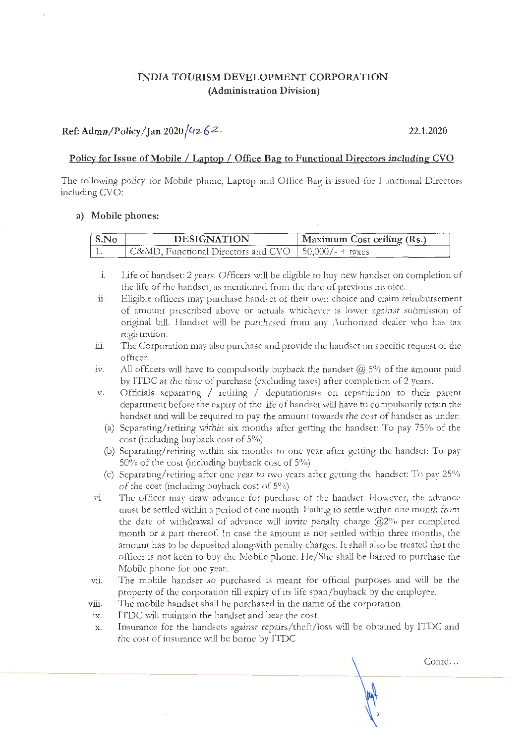# **INDIA TOURISM DEVELOPMENT CORPORATION (Administration Division)**

# **Ref: Admn/Policy / Jan 2020** / *42.* **6** *2* · **22.1.2020**

#### **Policy for Issue of Mobile I Laptop I Office Bag to Functional Directors including CVO**

The following policy for Mobile phone, Laptop and Office Bag is issued for Functional Directors including CVO:

#### **a) Mobile phones:**

| S.No | <b>DESIGNATION</b>                                    | Maximum Cost ceiling (Rs.) |
|------|-------------------------------------------------------|----------------------------|
|      | C&MD, Functional Directors and CVO   50,000/- + taxes |                            |

- 1. Llfe of handset: 2 years. Officers will be eligible to buy new handset on completion of the life of the handset, as mentioned from the date of previous invoice.
- 11. Eligible officers may purchase handset of their own choice and claim reimbursement of amount prescribed above or actuals whichever is lower against submission of original bill. Handset will be purchased from any Authorized dealer who has tax registration.
- iii. The Corporation may also purchase and provide the handset on specific request of the officer.
- iv. All officers will have to compulsorily buyback the handset  $\omega$  5% of the amount paid by TTDC at the time of purchase (excluding taxes) after completion of 2 years.
- v. Officials separating / retiring / deputationists on repatriation to their parent department before the expiry of the life of handset will have to compulsorily retain the handset and will be required to pay the amount towards the cost of handset as under:
	- (a) Separating/retiring within six months after getting the handset: To pay 75% of the cost (including buyback cost of 5%)
	- (b) Separating/retiring within six months to one year after getting the handset: To pay 50% of the cost (including buyback cost of 5%)
	- (c) Separating/retiring after one year to two years after getting the handset: To pay  $25\%$ of the cost (including buyback cost of 5%)
- vi. The officer may draw advance for purchase of the handset. However, the advance must be settled within a period of one month. Failing to settle within one month from the date of withdrawal of advance will invite penalty charge  $@2\%$  per completed month or a part thereof. In case the amount is not settled within three months, the amount has to be deposited alongwith penalty charges. It shall also be treated that the officer is not keen to buy the Mobile phone. 1 le/She shall be barred to purchase the Mobile phone for one year.
- vii. The mobile handset so purchased is meant for official purposes and will be the property of the corporation till expiry of its life span/buyback by the employee.
- viii. The mobile handset shall be purchased in the name of the corporation
- ix. ITDC will maintain the handset and bear the cost
- x. Insurance for the handsets against repairs/theft/ loss will be obtained by ITDC and the cost of insurance will be borne by ITDC

Contd...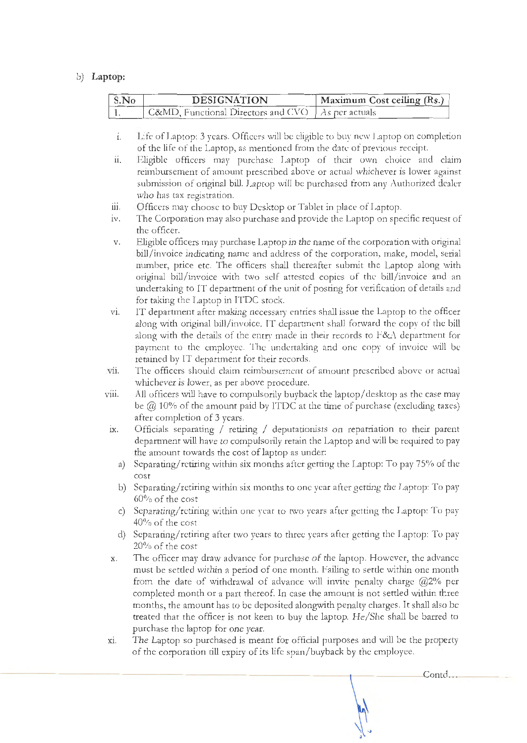### b) **Laptop:**

| S.No | <b>DESIGNATION</b>                                  | Maximum Cost ceiling (Rs.) |
|------|-----------------------------------------------------|----------------------------|
|      | C&MD, Functional Directors and CVO   As per actuals |                            |

- 1. Life of Laptop: 3 years. Officers will be eligible to buy new l .aptop on completion of the life of the Laptop, as mentioned from the date of previous receipt.
- ii. Eligible officers may purchase Laptop of their own choice and claim reimbursement of amount prescribed above or actual whichever is lower against submission of original bill. Laptop will be purchased from any Authorized dealer who has tax registration.
- iii. Officers may choose to buy Desktop or Tablet in place of Laptop.
- 1v. The Corporation may also purchase and provide the Laptop on specific request of the officer.
- v. Eligible o fficers may purchase Laptop in the name of the corporation with original bill/invoice indicating name and address of the corporation, make, model, serial number, price etc. The officers shall thereafter submit the Laptop along with original bill/invoice with two self attested copies of the bill/invoice and an undertaking to IT department of the unit of posting for verification of details and for taking the Laptop in TTDC stock.
- vi. IT department after making necessary entries shall issue the Laptop to the officer along with original bill/invoice. IT department shall forward the copy of the bill along with the details of the entry made in their records to  $F&A$  department for payment to the employee. The undertaking and one copy of invoice will be re tained by IT department for their records.
- vii. The officers should claim reimbursement of amount prescribed above or actual whichever is lower, as per above procedure.
- viii. All officers will have to compulsorily buyback the laptop/ desktop as the case may be  $@.10\%$  of the amount paid by ITDC at the time of purchase (excluding taxes) after completion of 3 years.
- ix. Officials separating / retiring / deputationists on repatriation to their parent department will have to compulsorily retain the Laptop and will be required to pay the amount towards the cost of laptop as under:
	- a) Separating/retiring within six months after getting the Laptop: To pay 75% of the cost
	- b) Separating/retiring within six months to one year after getting the Laptop: To pay 60% of the cost
	- c) Separating/retiring within one year to two years after getting the Laptop: To pay 40% of the cost
	- d) Separating/retiring after two years to three years after getting the Laptop: To pay 20% of the cost
- x. The officer may draw advance for purchase of the laptop. However, the advance must be settled within a period of one month. Failing to settle within one month from the date of withdrawal of advance will invite penalty charge  $@2\%$  per completed month or a part thereof. In case the amount is not settled within three months, the amount has to be deposited alongwith penalty charges. It shall also be treated that the officer is not keen to buy the laptop. He/ She shall be barred to purchase the laptop for one year.
- xi. T he Laptop so purchased is meant for official purposes and will be the property of the corporation till expiry of its life span/buyback by the employee.

 $Cont.$ ...